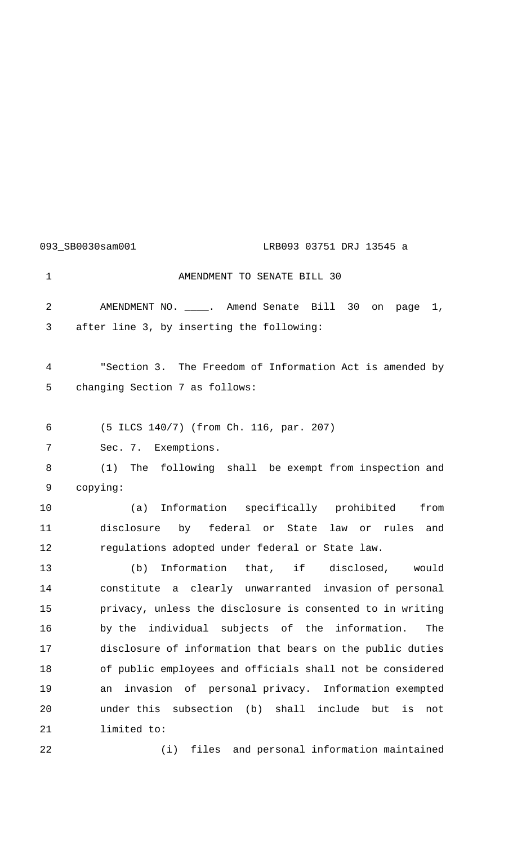## 093\_SB0030sam001 LRB093 03751 DRJ 13545 a

1 AMENDMENT TO SENATE BILL 30 AMENDMENT NO. \_\_\_\_. Amend Senate Bill 30 on page 1, after line 3, by inserting the following: "Section 3. The Freedom of Information Act is amended by changing Section 7 as follows: (5 ILCS 140/7) (from Ch. 116, par. 207) Sec. 7. Exemptions. (1) The following shall be exempt from inspection and copying: (a) Information specifically prohibited from disclosure by federal or State law or rules and regulations adopted under federal or State law. (b) Information that, if disclosed, would constitute a clearly unwarranted invasion of personal privacy, unless the disclosure is consented to in writing by the individual subjects of the information. The disclosure of information that bears on the public duties of public employees and officials shall not be considered an invasion of personal privacy. Information exempted under this subsection (b) shall include but is not limited to:

(i) files and personal information maintained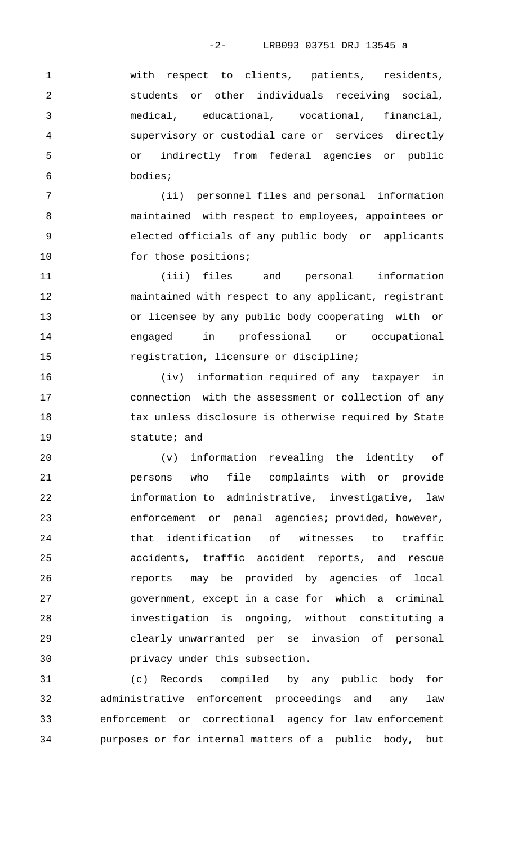-2- LRB093 03751 DRJ 13545 a

 with respect to clients, patients, residents, students or other individuals receiving social, medical, educational, vocational, financial, supervisory or custodial care or services directly or indirectly from federal agencies or public bodies;

 (ii) personnel files and personal information maintained with respect to employees, appointees or elected officials of any public body or applicants 10 for those positions;

 (iii) files and personal information maintained with respect to any applicant, registrant or licensee by any public body cooperating with or engaged in professional or occupational registration, licensure or discipline;

 (iv) information required of any taxpayer in connection with the assessment or collection of any 18 tax unless disclosure is otherwise required by State statute; and

 (v) information revealing the identity of persons who file complaints with or provide information to administrative, investigative, law enforcement or penal agencies; provided, however, that identification of witnesses to traffic accidents, traffic accident reports, and rescue reports may be provided by agencies of local government, except in a case for which a criminal investigation is ongoing, without constituting a clearly unwarranted per se invasion of personal privacy under this subsection.

 (c) Records compiled by any public body for administrative enforcement proceedings and any law enforcement or correctional agency for law enforcement purposes or for internal matters of a public body, but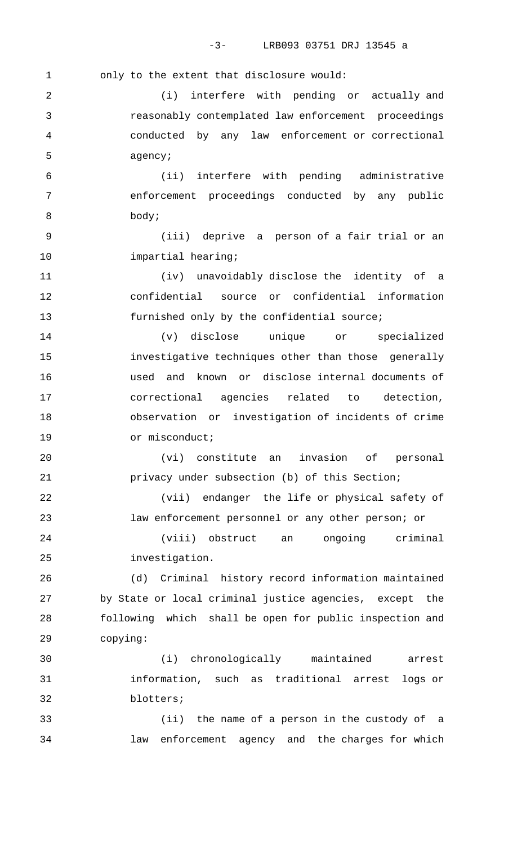-3- LRB093 03751 DRJ 13545 a

1 only to the extent that disclosure would: (i) interfere with pending or actually and reasonably contemplated law enforcement proceedings conducted by any law enforcement or correctional agency; (ii) interfere with pending administrative enforcement proceedings conducted by any public body; (iii) deprive a person of a fair trial or an **impartial** hearing; (iv) unavoidably disclose the identity of a confidential source or confidential information 13 furnished only by the confidential source; (v) disclose unique or specialized investigative techniques other than those generally used and known or disclose internal documents of correctional agencies related to detection, observation or investigation of incidents of crime 19 or misconduct; (vi) constitute an invasion of personal privacy under subsection (b) of this Section; (vii) endanger the life or physical safety of law enforcement personnel or any other person; or (viii) obstruct an ongoing criminal investigation. (d) Criminal history record information maintained by State or local criminal justice agencies, except the following which shall be open for public inspection and copying: (i) chronologically maintained arrest information, such as traditional arrest logs or blotters; (ii) the name of a person in the custody of a law enforcement agency and the charges for which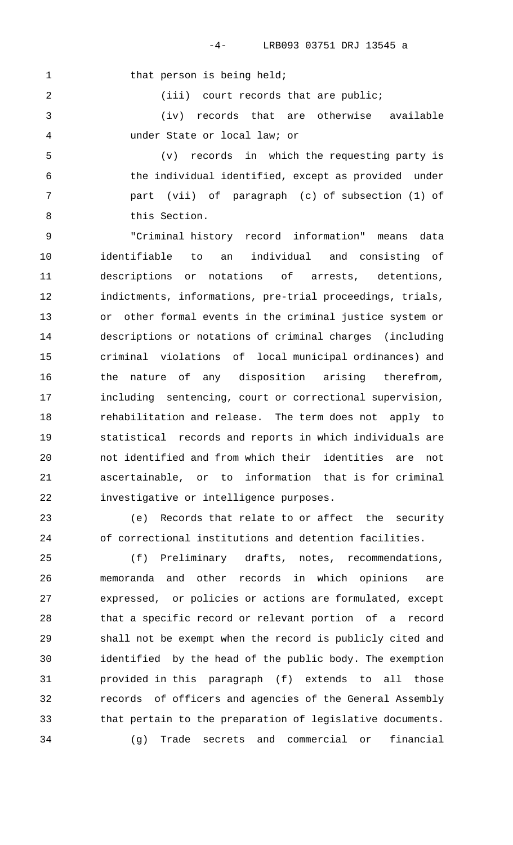1 that person is being held;

2 (iii) court records that are public;

 (iv) records that are otherwise available under State or local law; or

 (v) records in which the requesting party is the individual identified, except as provided under part (vii) of paragraph (c) of subsection (1) of this Section.

 "Criminal history record information" means data identifiable to an individual and consisting of descriptions or notations of arrests, detentions, indictments, informations, pre-trial proceedings, trials, or other formal events in the criminal justice system or descriptions or notations of criminal charges (including criminal violations of local municipal ordinances) and the nature of any disposition arising therefrom, including sentencing, court or correctional supervision, rehabilitation and release. The term does not apply to statistical records and reports in which individuals are not identified and from which their identities are not ascertainable, or to information that is for criminal investigative or intelligence purposes.

 (e) Records that relate to or affect the security of correctional institutions and detention facilities.

 (f) Preliminary drafts, notes, recommendations, memoranda and other records in which opinions are expressed, or policies or actions are formulated, except that a specific record or relevant portion of a record shall not be exempt when the record is publicly cited and identified by the head of the public body. The exemption provided in this paragraph (f) extends to all those records of officers and agencies of the General Assembly that pertain to the preparation of legislative documents. (g) Trade secrets and commercial or financial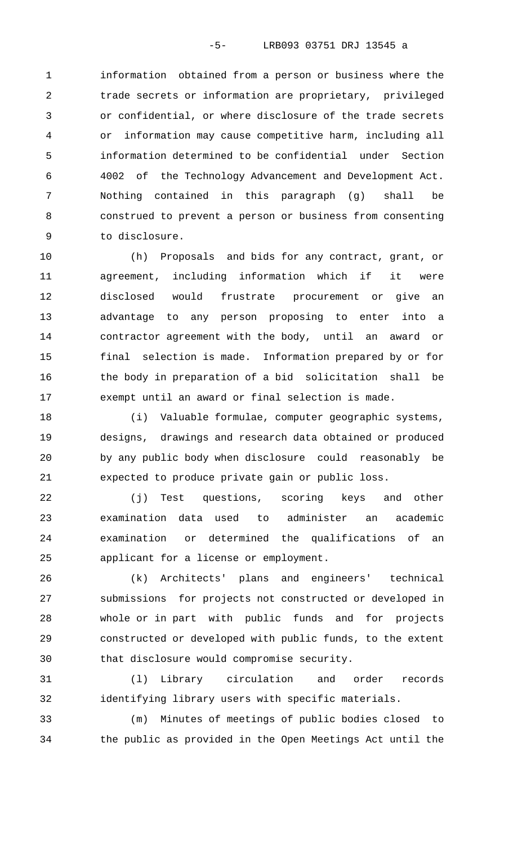information obtained from a person or business where the trade secrets or information are proprietary, privileged or confidential, or where disclosure of the trade secrets or information may cause competitive harm, including all information determined to be confidential under Section 4002 of the Technology Advancement and Development Act. Nothing contained in this paragraph (g) shall be construed to prevent a person or business from consenting to disclosure.

 (h) Proposals and bids for any contract, grant, or agreement, including information which if it were disclosed would frustrate procurement or give an advantage to any person proposing to enter into a contractor agreement with the body, until an award or final selection is made. Information prepared by or for the body in preparation of a bid solicitation shall be exempt until an award or final selection is made.

 (i) Valuable formulae, computer geographic systems, designs, drawings and research data obtained or produced by any public body when disclosure could reasonably be expected to produce private gain or public loss.

 (j) Test questions, scoring keys and other examination data used to administer an academic examination or determined the qualifications of an applicant for a license or employment.

 (k) Architects' plans and engineers' technical submissions for projects not constructed or developed in whole or in part with public funds and for projects constructed or developed with public funds, to the extent that disclosure would compromise security.

 (l) Library circulation and order records identifying library users with specific materials.

 (m) Minutes of meetings of public bodies closed to the public as provided in the Open Meetings Act until the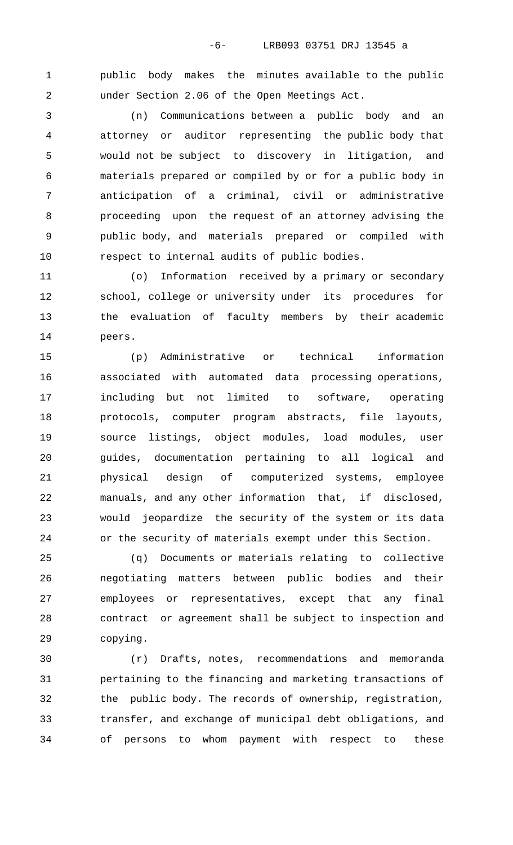public body makes the minutes available to the public under Section 2.06 of the Open Meetings Act.

 (n) Communications between a public body and an attorney or auditor representing the public body that would not be subject to discovery in litigation, and materials prepared or compiled by or for a public body in anticipation of a criminal, civil or administrative proceeding upon the request of an attorney advising the public body, and materials prepared or compiled with respect to internal audits of public bodies.

 (o) Information received by a primary or secondary school, college or university under its procedures for the evaluation of faculty members by their academic peers.

 (p) Administrative or technical information associated with automated data processing operations, including but not limited to software, operating protocols, computer program abstracts, file layouts, source listings, object modules, load modules, user guides, documentation pertaining to all logical and physical design of computerized systems, employee manuals, and any other information that, if disclosed, would jeopardize the security of the system or its data or the security of materials exempt under this Section.

 (q) Documents or materials relating to collective negotiating matters between public bodies and their employees or representatives, except that any final contract or agreement shall be subject to inspection and copying.

 (r) Drafts, notes, recommendations and memoranda pertaining to the financing and marketing transactions of the public body. The records of ownership, registration, transfer, and exchange of municipal debt obligations, and of persons to whom payment with respect to these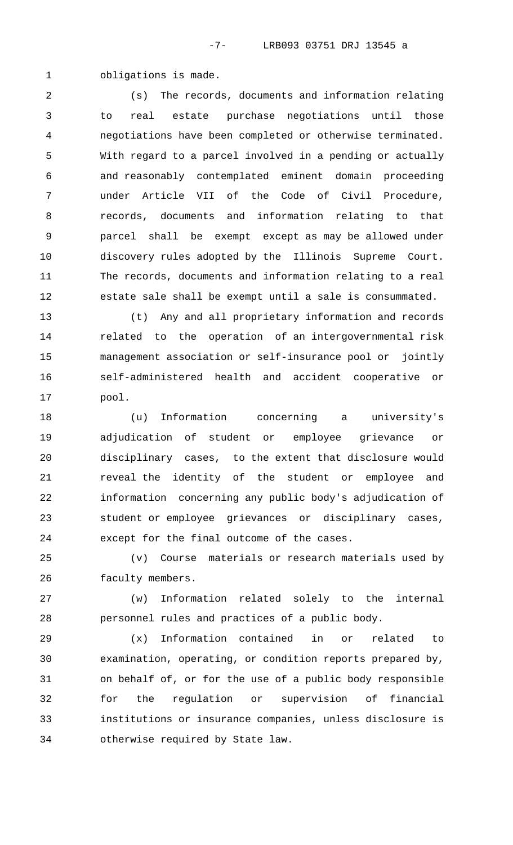obligations is made.

 (s) The records, documents and information relating to real estate purchase negotiations until those negotiations have been completed or otherwise terminated. With regard to a parcel involved in a pending or actually and reasonably contemplated eminent domain proceeding under Article VII of the Code of Civil Procedure, records, documents and information relating to that parcel shall be exempt except as may be allowed under discovery rules adopted by the Illinois Supreme Court. The records, documents and information relating to a real estate sale shall be exempt until a sale is consummated.

 (t) Any and all proprietary information and records related to the operation of an intergovernmental risk management association or self-insurance pool or jointly self-administered health and accident cooperative or pool.

 (u) Information concerning a university's adjudication of student or employee grievance or disciplinary cases, to the extent that disclosure would reveal the identity of the student or employee and information concerning any public body's adjudication of student or employee grievances or disciplinary cases, except for the final outcome of the cases.

 (v) Course materials or research materials used by faculty members.

 (w) Information related solely to the internal personnel rules and practices of a public body.

 (x) Information contained in or related to examination, operating, or condition reports prepared by, on behalf of, or for the use of a public body responsible for the regulation or supervision of financial institutions or insurance companies, unless disclosure is otherwise required by State law.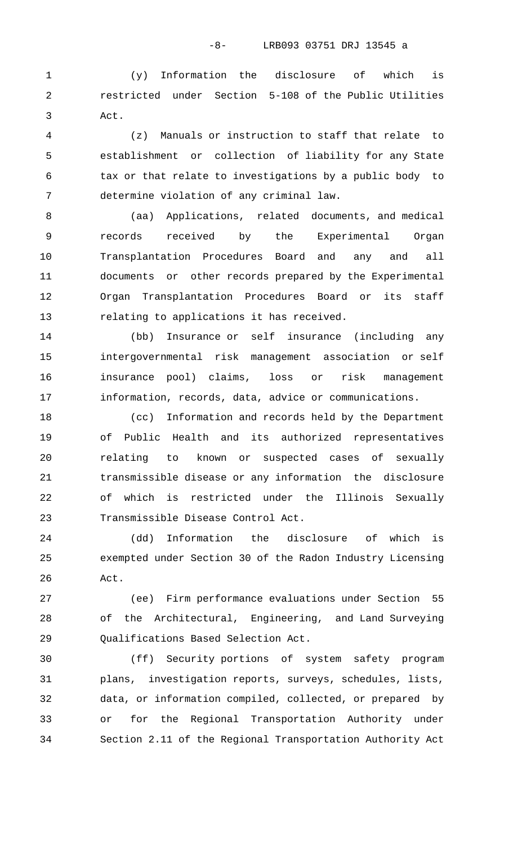-8- LRB093 03751 DRJ 13545 a

 (y) Information the disclosure of which is restricted under Section 5-108 of the Public Utilities Act.

 (z) Manuals or instruction to staff that relate to establishment or collection of liability for any State tax or that relate to investigations by a public body to determine violation of any criminal law.

 (aa) Applications, related documents, and medical records received by the Experimental Organ Transplantation Procedures Board and any and all documents or other records prepared by the Experimental Organ Transplantation Procedures Board or its staff relating to applications it has received.

 (bb) Insurance or self insurance (including any intergovernmental risk management association or self insurance pool) claims, loss or risk management information, records, data, advice or communications.

 (cc) Information and records held by the Department of Public Health and its authorized representatives relating to known or suspected cases of sexually transmissible disease or any information the disclosure of which is restricted under the Illinois Sexually Transmissible Disease Control Act.

 (dd) Information the disclosure of which is exempted under Section 30 of the Radon Industry Licensing Act.

 (ee) Firm performance evaluations under Section 55 of the Architectural, Engineering, and Land Surveying Qualifications Based Selection Act.

 (ff) Security portions of system safety program plans, investigation reports, surveys, schedules, lists, data, or information compiled, collected, or prepared by or for the Regional Transportation Authority under Section 2.11 of the Regional Transportation Authority Act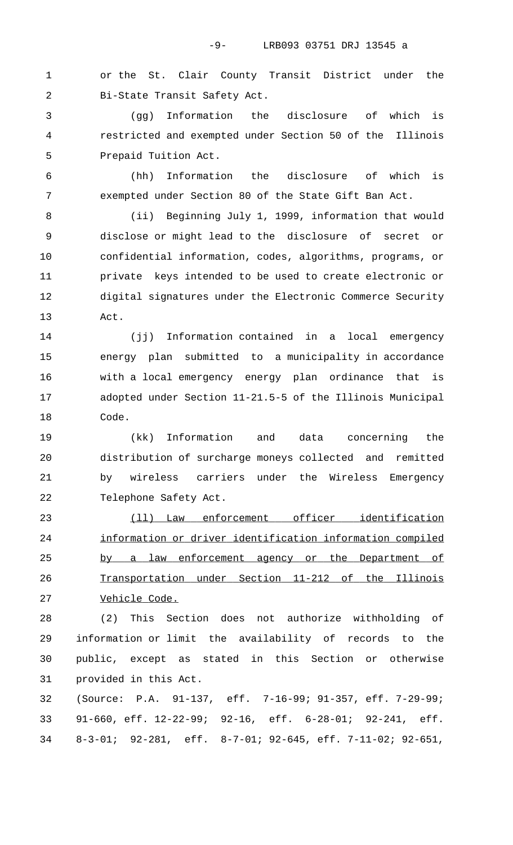or the St. Clair County Transit District under the Bi-State Transit Safety Act.

 (gg) Information the disclosure of which is restricted and exempted under Section 50 of the Illinois Prepaid Tuition Act.

 (hh) Information the disclosure of which is exempted under Section 80 of the State Gift Ban Act.

 (ii) Beginning July 1, 1999, information that would disclose or might lead to the disclosure of secret or confidential information, codes, algorithms, programs, or private keys intended to be used to create electronic or digital signatures under the Electronic Commerce Security Act.

 (jj) Information contained in a local emergency energy plan submitted to a municipality in accordance with a local emergency energy plan ordinance that is adopted under Section 11-21.5-5 of the Illinois Municipal Code.

 (kk) Information and data concerning the distribution of surcharge moneys collected and remitted by wireless carriers under the Wireless Emergency Telephone Safety Act.

23 (11) Law enforcement officer identification 24 information or driver identification information compiled 25 by a law enforcement agency or the Department of 26 Transportation under Section 11-212 of the Illinois 27 Vehicle Code.

 (2) This Section does not authorize withholding of information or limit the availability of records to the public, except as stated in this Section or otherwise provided in this Act.

 (Source: P.A. 91-137, eff. 7-16-99; 91-357, eff. 7-29-99; 91-660, eff. 12-22-99; 92-16, eff. 6-28-01; 92-241, eff. 8-3-01; 92-281, eff. 8-7-01; 92-645, eff. 7-11-02; 92-651,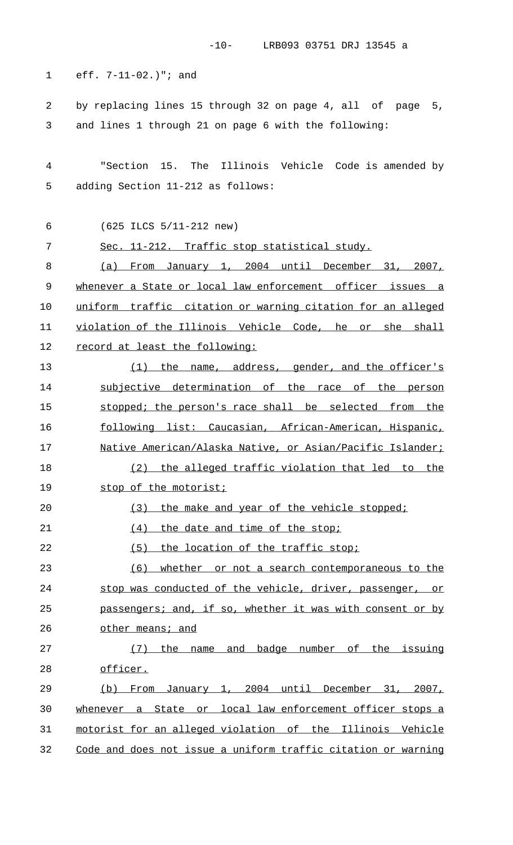|  | eff. $7-11-02.$ $"i$ and |  |  |  |
|--|--------------------------|--|--|--|
|--|--------------------------|--|--|--|

2 by replacing lines 15 through 32 on page 4, all of page 5, 3 and lines 1 through 21 on page 6 with the following:

4 "Section 15. The Illinois Vehicle Code is amended by 5 adding Section 11-212 as follows:

6 (625 ILCS 5/11-212 new)

7 Sec. 11-212. Traffic stop statistical study. 8 (a) From January 1, 2004 until December 31, 2007, 9 whenever a State or local law enforcement officer issues a 10 uniform traffic citation or warning citation for an alleged 11 violation of the Illinois Vehicle Code, he or she shall 12 record at least the following:

13 (1) the name, address, gender, and the officer's 14 subjective determination of the race of the person 15 stopped; the person's race shall be selected from the 16 following list: Caucasian, African-American, Hispanic, 17 Mative American/Alaska Native, or Asian/Pacific Islander; 18 (2) the alleged traffic violation that led to the 19 stop of the motorist; 20 (3) the make and year of the vehicle stopped;

21 (4) the date and time of the stop;

22 (5) the location of the traffic stop;

23 (6) whether or not a search contemporaneous to the 24 stop was conducted of the vehicle, driver, passenger, or 25 passengers; and, if so, whether it was with consent or by 26 other means; and

27 (7) the name and badge number of the issuing 28 officer.

29 (b) From January 1, 2004 until December 31, 2007, 30 whenever a State or local law enforcement officer stops a 31 motorist for an alleged violation of the Illinois Vehicle 32 Code and does not issue a uniform traffic citation or warning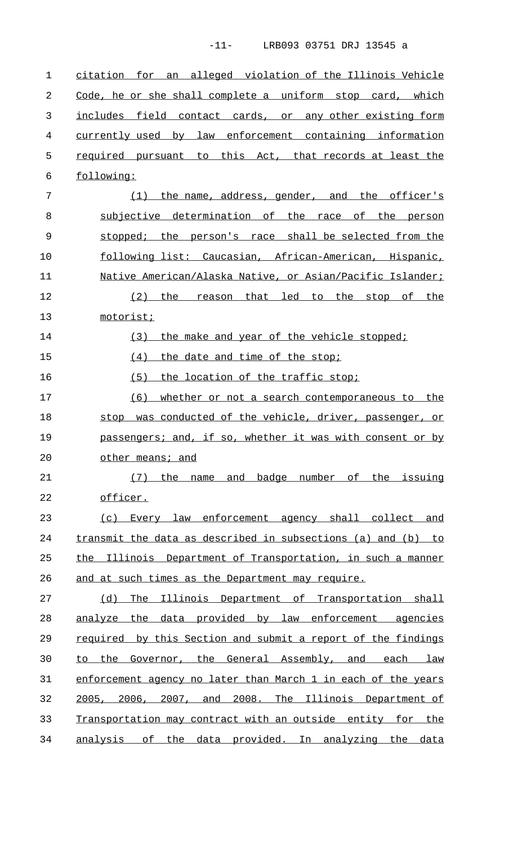-11- LRB093 03751 DRJ 13545 a

1 citation for an alleged violation of the Illinois Vehicle 2 Code, he or she shall complete a uniform stop card, which 3 includes field contact cards, or any other existing form 4 currently used by law enforcement containing information 5 required pursuant to this Act, that records at least the 6 following: 7 (1) the name, address, gender, and the officer's 8 subjective determination of the race of the person 9 stopped; the person's race shall be selected from the 10 following list: Caucasian, African-American, Hispanic, 11 Mative American/Alaska Native, or Asian/Pacific Islander; 12 (2) the reason that led to the stop of the 13 motorist; 14 (3) the make and year of the vehicle stopped; 15 (4) the date and time of the stop; 16 (5) the location of the traffic stop; 17 (6) whether or not a search contemporaneous to the 18 stop was conducted of the vehicle, driver, passenger, or 19 passengers; and, if so, whether it was with consent or by 20 other means; and 21 (7) the name and badge number of the issuing 22 officer. 23 (c) Every law enforcement agency shall collect and 24 transmit the data as described in subsections (a) and (b) to 25 the Illinois Department of Transportation, in such a manner 26 and at such times as the Department may require. 27 (d) The Illinois Department of Transportation shall 28 analyze the data provided by law enforcement agencies 29 required by this Section and submit a report of the findings 30 to the Governor, the General Assembly, and each law 31 enforcement agency no later than March 1 in each of the years 32 2005, 2006, 2007, and 2008. The Illinois Department of 33 Transportation may contract with an outside entity for the 34 analysis of the data provided. In analyzing the data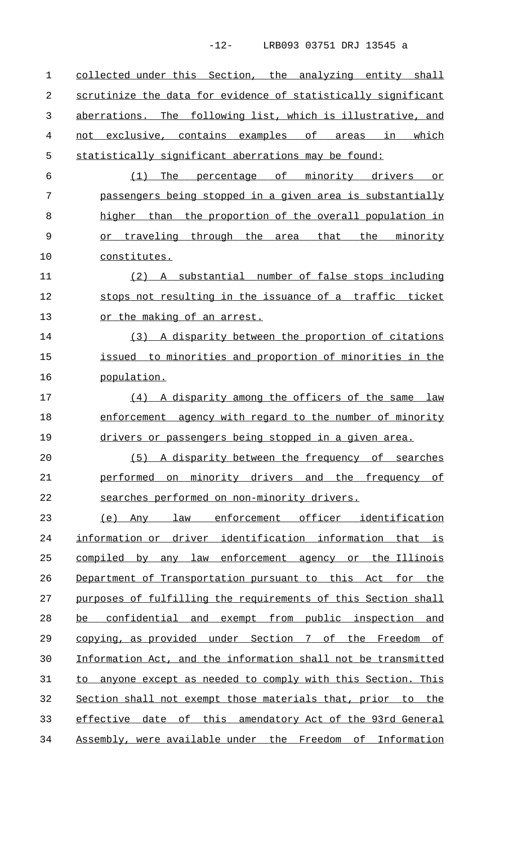-12- LRB093 03751 DRJ 13545 a

1 collected under this Section, the analyzing entity shall 2 scrutinize the data for evidence of statistically significant 3 aberrations. The following list, which is illustrative, and 4 not exclusive, contains examples of areas in which 5 statistically significant aberrations may be found: 6 (1) The percentage of minority drivers or 7 passengers being stopped in a given area is substantially 8 higher than the proportion of the overall population in 9 or traveling through the area that the minority 10 constitutes. 11 (2) A substantial number of false stops including 12 stops not resulting in the issuance of a traffic ticket 13 or the making of an arrest. 14 (3) A disparity between the proportion of citations 15 issued to minorities and proportion of minorities in the 16 population. 17 (4) A disparity among the officers of the same law 18 enforcement agency with regard to the number of minority 19 drivers or passengers being stopped in a given area. 20 (5) A disparity between the frequency of searches 21 performed on minority drivers and the frequency of 22 searches performed on non-minority drivers. 23 (e) Any law enforcement officer identification 24 information or driver identification information that is 25 compiled by any law enforcement agency or the Illinois 26 Department of Transportation pursuant to this Act for the 27 purposes of fulfilling the requirements of this Section shall 28 be confidential and exempt from public inspection and 29 copying, as provided under Section 7 of the Freedom of 30 Information Act, and the information shall not be transmitted 31 to anyone except as needed to comply with this Section. This 32 Section shall not exempt those materials that, prior to the 33 effective date of this amendatory Act of the 93rd General 34 Assembly, were available under the Freedom of Information